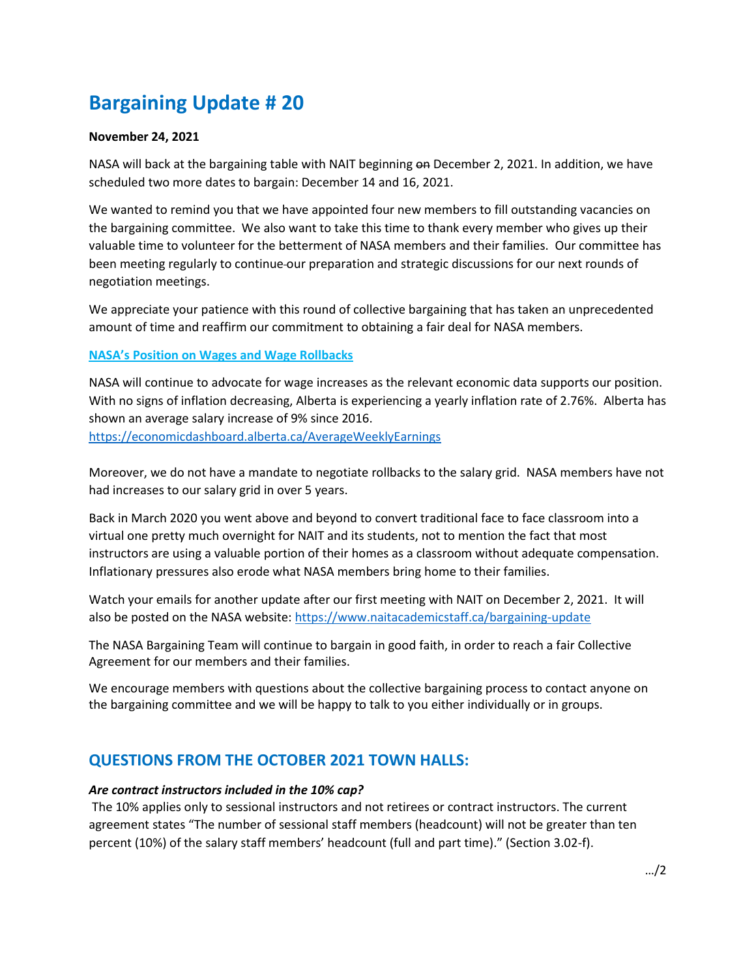# **Bargaining Update # 20**

#### **November 24, 2021**

NASA will back at the bargaining table with NAIT beginning on December 2, 2021. In addition, we have scheduled two more dates to bargain: December 14 and 16, 2021.

We wanted to remind you that we have appointed four new members to fill outstanding vacancies on the bargaining committee. We also want to take this time to thank every member who gives up their valuable time to volunteer for the betterment of NASA members and their families. Our committee has been meeting regularly to continue our preparation and strategic discussions for our next rounds of negotiation meetings.

We appreciate your patience with this round of collective bargaining that has taken an unprecedented amount of time and reaffirm our commitment to obtaining a fair deal for NASA members.

#### **NASA's Position on Wages and Wage Rollbacks**

NASA will continue to advocate for wage increases as the relevant economic data supports our position. With no signs of inflation decreasing, Alberta is experiencing a yearly inflation rate of 2.76%. Alberta has shown an average salary increase of 9% since 2016. <https://economicdashboard.alberta.ca/AverageWeeklyEarnings>

Moreover, we do not have a mandate to negotiate rollbacks to the salary grid. NASA members have not had increases to our salary grid in over 5 years.

Back in March 2020 you went above and beyond to convert traditional face to face classroom into a virtual one pretty much overnight for NAIT and its students, not to mention the fact that most instructors are using a valuable portion of their homes as a classroom without adequate compensation. Inflationary pressures also erode what NASA members bring home to their families.

Watch your emails for another update after our first meeting with NAIT on December 2, 2021. It will also be posted on the NASA website:<https://www.naitacademicstaff.ca/bargaining-update>

The NASA Bargaining Team will continue to bargain in good faith, in order to reach a fair Collective Agreement for our members and their families.

We encourage members with questions about the collective bargaining process to contact anyone on the bargaining committee and we will be happy to talk to you either individually or in groups.

## **QUESTIONS FROM THE OCTOBER 2021 TOWN HALLS:**

#### *Are contract instructors included in the 10% cap?*

The 10% applies only to sessional instructors and not retirees or contract instructors. The current agreement states "The number of sessional staff members (headcount) will not be greater than ten percent (10%) of the salary staff members' headcount (full and part time)." (Section 3.02-f).